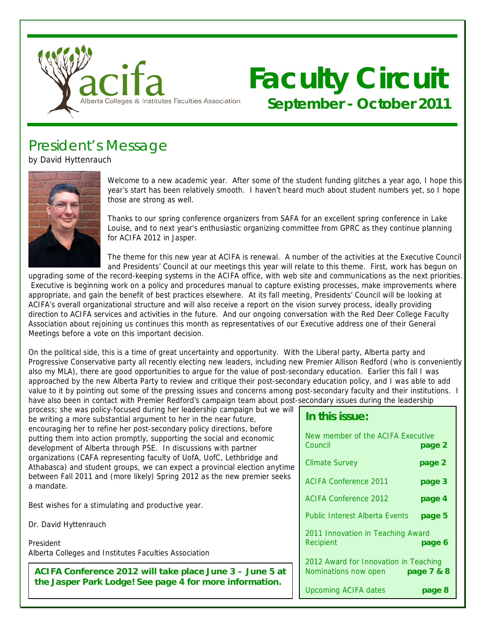

# **Faculty Circuit September - October 2011**

# President's Message

by David Hyttenrauch



Welcome to a new academic year. After some of the student funding glitches a year ago, I hope this year's start has been relatively smooth. I haven't heard much about student numbers yet, so I hope those are strong as well.

Thanks to our spring conference organizers from SAFA for an excellent spring conference in Lake Louise, and to next year's enthusiastic organizing committee from GPRC as they continue planning for ACIFA 2012 in Jasper.

The theme for this new year at ACIFA is renewal. A number of the activities at the Executive Council and Presidents' Council at our meetings this year will relate to this theme. First, work has begun on

upgrading some of the record-keeping systems in the ACIFA office, with web site and communications as the next priorities. Executive is beginning work on a policy and procedures manual to capture existing processes, make improvements where appropriate, and gain the benefit of best practices elsewhere. At its fall meeting, Presidents' Council will be looking at ACIFA's overall organizational structure and will also receive a report on the vision survey process, ideally providing direction to ACIFA services and activities in the future. And our ongoing conversation with the Red Deer College Faculty Association about rejoining us continues this month as representatives of our Executive address one of their General Meetings before a vote on this important decision.

On the political side, this is a time of great uncertainty and opportunity. With the Liberal party, Alberta party and Progressive Conservative party all recently electing new leaders, including new Premier Allison Redford (who is conveniently also my MLA), there are good opportunities to argue for the value of post-secondary education. Earlier this fall I was approached by the new Alberta Party to review and critique their post-secondary education policy, and I was able to add value to it by pointing out some of the pressing issues and concerns among post-secondary faculty and their institutions. I have also been in contact with Premier Redford's campaign team about post-secondary issues during the leadership

process; she was policy-focused during her leadership campaign but we will be writing a more substantial argument to her in the near future, encouraging her to refine her post-secondary policy directions, before putting them into action promptly, supporting the social and economic development of Alberta through PSE. In discussions with partner organizations (CAFA representing faculty of UofA, UofC, Lethbridge and Athabasca) and student groups, we can expect a provincial election anytime between Fall 2011 and (more likely) Spring 2012 as the new premier seeks a mandate.

Best wishes for a stimulating and productive year.

Dr. David Hyttenrauch

President Alberta Colleges and Institutes Faculties Association

**ACIFA Conference 2012 will take place June 3 – June 5 at the Jasper Park Lodge! See page 4 for more information.**

#### **In this issue:**

| New member of the ACIFA Executive<br>Council                  | page 2     |
|---------------------------------------------------------------|------------|
| <b>Climate Survey</b>                                         | page 2     |
| <b>ACIFA Conference 2011</b>                                  | page 3     |
| <b>ACIFA Conference 2012</b>                                  | page 4     |
| <b>Public Interest Alberta Events</b>                         | page 5     |
| 2011 Innovation in Teaching Award<br>Recipient                | page 6     |
| 2012 Award for Innovation in Teaching<br>Nominations now open | page 7 & 8 |
| <b>Upcoming ACIFA dates</b>                                   | page 8     |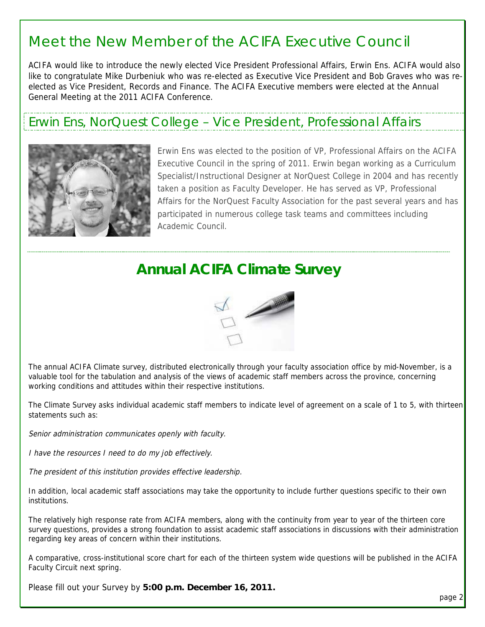### Meet the New Member of the ACIFA Executive Council

ACIFA would like to introduce the newly elected Vice President Professional Affairs, Erwin Ens. ACIFA would also like to congratulate Mike Durbeniuk who was re-elected as Executive Vice President and Bob Graves who was reelected as Vice President, Records and Finance. The ACIFA Executive members were elected at the Annual General Meeting at the 2011 ACIFA Conference.

### Erwin Ens, NorQuest College – Vice President, Professional Affairs



Erwin Ens was elected to the position of VP, Professional Affairs on the ACIFA Executive Council in the spring of 2011. Erwin began working as a Curriculum Specialist/Instructional Designer at NorQuest College in 2004 and has recently taken a position as Faculty Developer. He has served as VP, Professional Affairs for the NorQuest Faculty Association for the past several years and has participated in numerous college task teams and committees including Academic Council.

### **Annual ACIFA Climate Survey**



The annual ACIFA Climate survey, distributed electronically through your faculty association office by mid-November, is a valuable tool for the tabulation and analysis of the views of academic staff members across the province, concerning working conditions and attitudes within their respective institutions.

The Climate Survey asks individual academic staff members to indicate level of agreement on a scale of 1 to 5, with thirteen statements such as:

Senior administration communicates openly with faculty.

I have the resources I need to do my job effectively.

The president of this institution provides effective leadership.

In addition, local academic staff associations may take the opportunity to include further questions specific to their own institutions.

The relatively high response rate from ACIFA members, along with the continuity from year to year of the thirteen core survey questions, provides a strong foundation to assist academic staff associations in discussions with their administration regarding key areas of concern within their institutions.

A comparative, cross-institutional score chart for each of the thirteen system wide questions will be published in the ACIFA Faculty Circuit next spring.

Please fill out your Survey by **5:00 p.m. December 16, 2011.**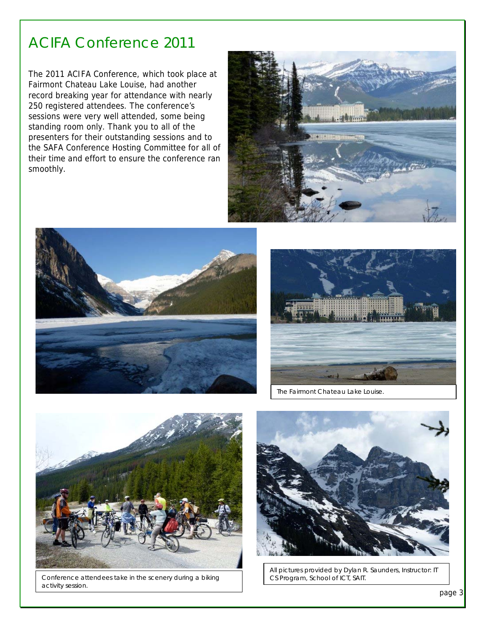### ACIFA Conference 2011

The 2011 ACIFA Conference, which took place at Fairmont Chateau Lake Louise, had another record breaking year for attendance with nearly 250 registered attendees. The conference's sessions were very well attended, some being standing room only. Thank you to all of the presenters for their outstanding sessions and to the SAFA Conference Hosting Committee for all of their time and effort to ensure the conference ran smoothly.







The Fairmont Chateau Lake Louise.



Conference attendees take in the scenery during a biking activity session.



All pictures provided by Dylan R. Saunders, Instructor: IT CS Program, School of ICT, SAIT.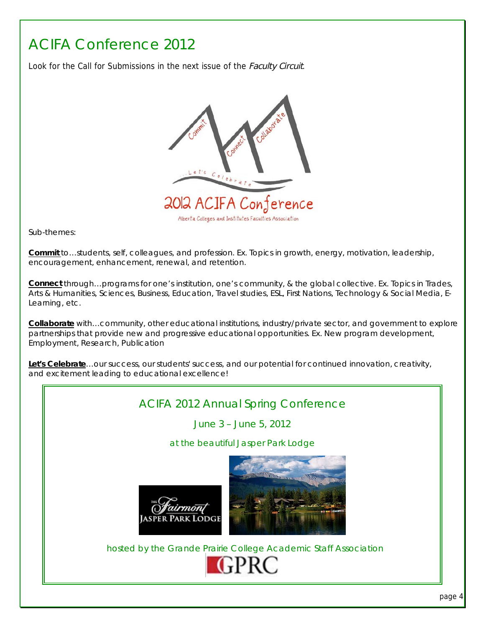# ACIFA Conference 2012

Look for the Call for Submissions in the next issue of the Faculty Circuit.



Sub-themes:

**Commit** to…students, self, colleagues, and profession. Ex. Topics in growth, energy, motivation, leadership, encouragement, enhancement, renewal, and retention.

**Connect** through…programs for one's institution, one's community, & the global collective. Ex. Topics in Trades, Arts & Humanities, Sciences, Business, Education, Travel studies, ESL, First Nations, Technology & Social Media, E-Learning, etc.

**Collaborate** with…community, other educational institutions, industry/private sector, and government to explore partnerships that provide new and progressive educational opportunities. Ex. New program development, Employment, Research, Publication

**Let's Celebrate**…our success, our students' success, and our potential for continued innovation, creativity, and excitement leading to educational excellence!

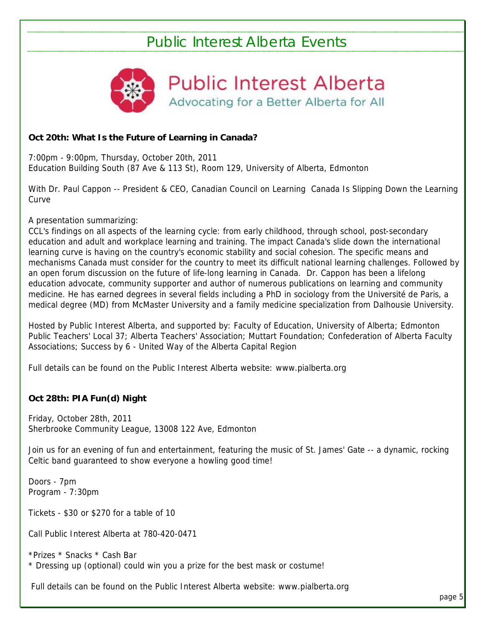## Public Interest Alberta Events



**Public Interest Alberta** Advocating for a Better Alberta for All

#### **Oct 20th: What Is the Future of Learning in Canada?**

7:00pm - 9:00pm, Thursday, October 20th, 2011 Education Building South (87 Ave & 113 St), Room 129, University of Alberta, Edmonton

With Dr. Paul Cappon -- President & CEO, Canadian Council on Learning Canada Is Slipping Down the Learning **Curve** 

A presentation summarizing:

CCL's findings on all aspects of the learning cycle: from early childhood, through school, post-secondary education and adult and workplace learning and training. The impact Canada's slide down the international learning curve is having on the country's economic stability and social cohesion. The specific means and mechanisms Canada must consider for the country to meet its difficult national learning challenges. Followed by an open forum discussion on the future of life-long learning in Canada. Dr. Cappon has been a lifelong education advocate, community supporter and author of numerous publications on learning and community medicine. He has earned degrees in several fields including a PhD in sociology from the Université de Paris, a medical degree (MD) from McMaster University and a family medicine specialization from Dalhousie University.

Hosted by Public Interest Alberta, and supported by: Faculty of Education, University of Alberta; Edmonton Public Teachers' Local 37; Alberta Teachers' Association; Muttart Foundation; Confederation of Alberta Faculty Associations; Success by 6 - United Way of the Alberta Capital Region

Full details can be found on the Public Interest Alberta website: www.pialberta.org

#### **Oct 28th: PIA Fun(d) Night**

Friday, October 28th, 2011 Sherbrooke Community League, 13008 122 Ave, Edmonton

Join us for an evening of fun and entertainment, featuring the music of St. James' Gate -- a dynamic, rocking Celtic band guaranteed to show everyone a howling good time!

Doors - 7pm Program - 7:30pm

Tickets - \$30 or \$270 for a table of 10

Call Public Interest Alberta at 780-420-0471

\*Prizes \* Snacks \* Cash Bar \* Dressing up (optional) could win you a prize for the best mask or costume!

Full details can be found on the Public Interest Alberta website: www.pialberta.org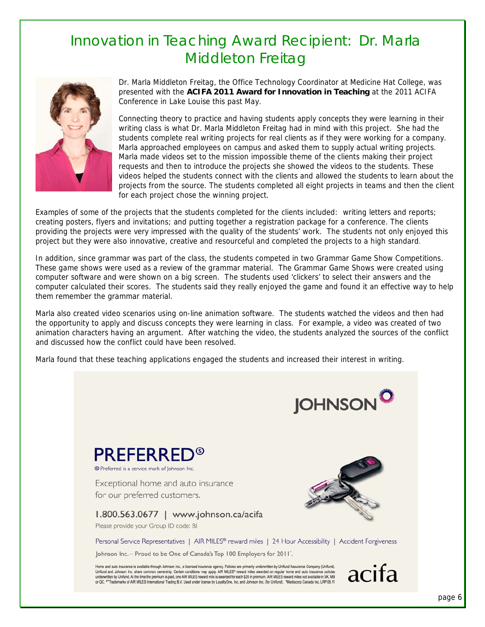### Innovation in Teaching Award Recipient: Dr. Marla Middleton Freitag



Dr. Marla Middleton Freitag, the Office Technology Coordinator at Medicine Hat College, was presented with the **ACIFA 2011 Award for Innovation in Teaching** at the 2011 ACIFA Conference in Lake Louise this past May.

Connecting theory to practice and having students apply concepts they were learning in their writing class is what Dr. Marla Middleton Freitag had in mind with this project. She had the students complete real writing projects for real clients as if they were working for a company. Marla approached employees on campus and asked them to supply actual writing projects. Marla made videos set to the mission impossible theme of the clients making their project requests and then to introduce the projects she showed the videos to the students. These videos helped the students connect with the clients and allowed the students to learn about the projects from the source. The students completed all eight projects in teams and then the client for each project chose the winning project.

Examples of some of the projects that the students completed for the clients included: writing letters and reports; creating posters, flyers and invitations; and putting together a registration package for a conference. The clients providing the projects were very impressed with the quality of the students' work. The students not only enjoyed this project but they were also innovative, creative and resourceful and completed the projects to a high standard.

In addition, since grammar was part of the class, the students competed in two Grammar Game Show Competitions. These game shows were used as a review of the grammar material. The Grammar Game Shows were created using computer software and were shown on a big screen. The students used 'clickers' to select their answers and the computer calculated their scores. The students said they really enjoyed the game and found it an effective way to help them remember the grammar material.

Marla also created video scenarios using on-line animation software. The students watched the videos and then had the opportunity to apply and discuss concepts they were learning in class. For example, a video was created of two animation characters having an argument. After watching the video, the students analyzed the sources of the conflict and discussed how the conflict could have been resolved.

Marla found that these teaching applications engaged the students and increased their interest in writing.

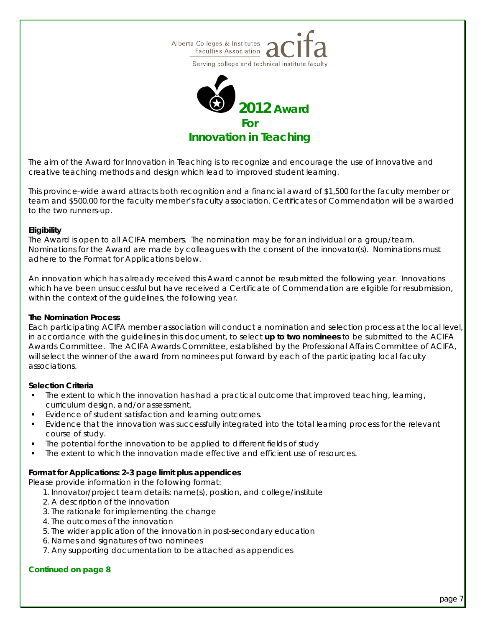



*The aim of the Award for Innovation in Teaching is to recognize and encourage the use of innovative and creative teaching methods and design which lead to improved student learning.* 

*This province-wide award attracts both recognition and a financial award of \$1,500 for the faculty member or team and \$500.00 for the faculty member's faculty association. Certificates of Commendation will be awarded to the two runners-up.* 

#### **Eligibility**

The Award is open to all ACIFA members. The nomination may be for an individual or a group/team. Nominations for the Award are made by colleagues with the consent of the innovator(s). Nominations must adhere to the *Format for Applications* below.

An innovation which has already received this Award cannot be resubmitted the following year. Innovations which have been unsuccessful but have received a Certificate of Commendation are eligible for resubmission, within the context of the guidelines, the following year.

#### **The Nomination Process**

Each participating ACIFA member association will conduct a nomination and selection process at the local level, in accordance with the guidelines in this document, to select **up to two nominees** to be submitted to the ACIFA Awards Committee. The ACIFA Awards Committee, established by the Professional Affairs Committee of ACIFA, will select the winner of the award from nominees put forward by each of the participating local faculty associations.

#### **Selection Criteria**

- The extent to which the innovation has had a practical outcome that improved teaching, learning, curriculum design, and/or assessment.
- Evidence of student satisfaction and learning outcomes.
- Evidence that the innovation was successfully integrated into the total learning process for the relevant course of study.
- The potential for the innovation to be applied to different fields of study
- The extent to which the innovation made effective and efficient use of resources.

#### **Format for Applications: 2-3 page limit plus appendices**

Please provide information in the following format:

- 1. Innovator/project team details: name(s), position, and college/institute
- 2. A description of the innovation
- 3. The rationale for implementing the change
- 4. The outcomes of the innovation
- 5. The wider application of the innovation in post-secondary education
- 6. Names and signatures of two nominees
- 7. Any supporting documentation to be attached as appendices

#### **Continued on page 8**